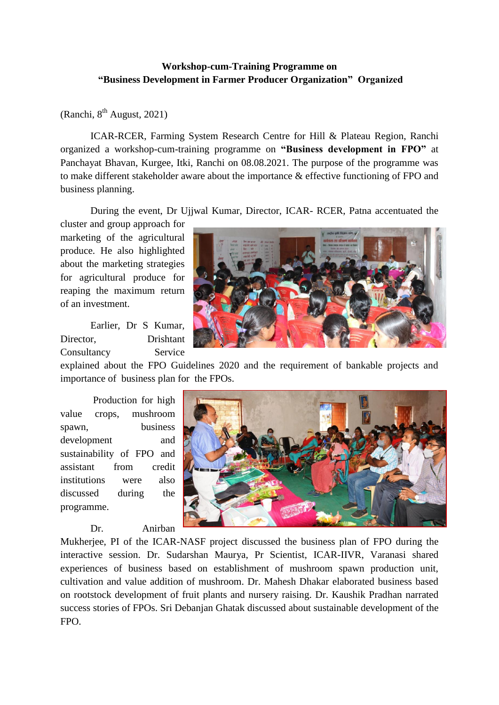## **Workshop-cum-Training Programme on "Business Development in Farmer Producer Organization" Organized**

(Ranchi,  $8^{th}$  August, 2021)

ICAR-RCER, Farming System Research Centre for Hill & Plateau Region, Ranchi organized a workshop-cum-training programme on **"Business development in FPO"** at Panchayat Bhavan, Kurgee, Itki, Ranchi on 08.08.2021. The purpose of the programme was to make different stakeholder aware about the importance & effective functioning of FPO and business planning.

During the event, Dr Ujjwal Kumar, Director, ICAR- RCER, Patna accentuated the

cluster and group approach for marketing of the agricultural produce. He also highlighted about the marketing strategies for agricultural produce for reaping the maximum return of an investment.

Earlier, Dr S Kumar, Director, Drishtant Consultancy Service



explained about the FPO Guidelines 2020 and the requirement of bankable projects and importance of business plan for the FPOs.

Production for high value crops, mushroom spawn, business development and sustainability of FPO and assistant from credit institutions were also discussed during the programme.

Dr. Anirban



Mukherjee, PI of the ICAR-NASF project discussed the business plan of FPO during the interactive session. Dr. Sudarshan Maurya, Pr Scientist, ICAR-IIVR, Varanasi shared experiences of business based on establishment of mushroom spawn production unit, cultivation and value addition of mushroom. Dr. Mahesh Dhakar elaborated business based on rootstock development of fruit plants and nursery raising. Dr. Kaushik Pradhan narrated success stories of FPOs. Sri Debanjan Ghatak discussed about sustainable development of the FPO.